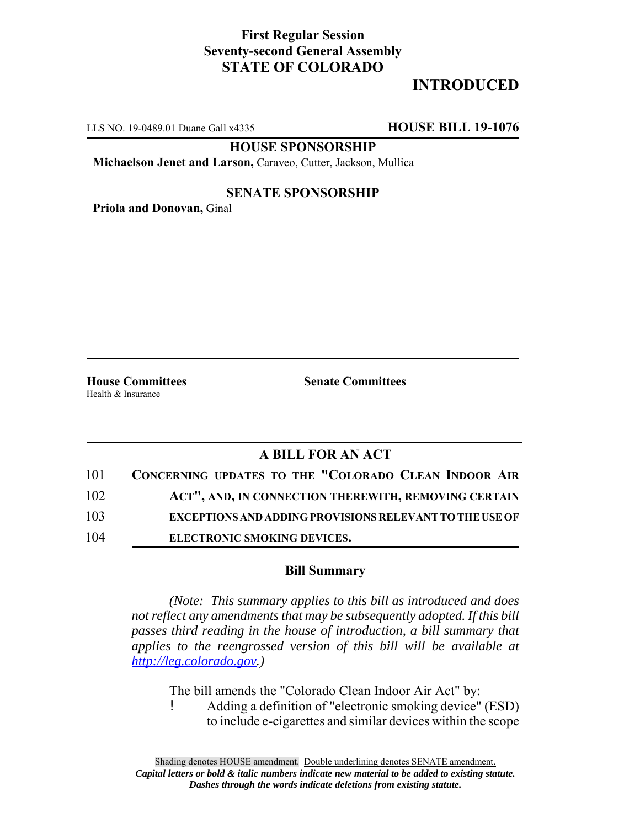## **First Regular Session Seventy-second General Assembly STATE OF COLORADO**

# **INTRODUCED**

LLS NO. 19-0489.01 Duane Gall x4335 **HOUSE BILL 19-1076**

**HOUSE SPONSORSHIP**

**Michaelson Jenet and Larson,** Caraveo, Cutter, Jackson, Mullica

#### **SENATE SPONSORSHIP**

**Priola and Donovan,** Ginal

Health & Insurance

**House Committees Senate Committees** 

### **A BILL FOR AN ACT**

| 101 | <b>CONCERNING UPDATES TO THE "COLORADO CLEAN INDOOR AIR</b>    |
|-----|----------------------------------------------------------------|
| 102 | ACT", AND, IN CONNECTION THEREWITH, REMOVING CERTAIN           |
| 103 | <b>EXCEPTIONS AND ADDING PROVISIONS RELEVANT TO THE USE OF</b> |
| 104 | ELECTRONIC SMOKING DEVICES.                                    |

#### **Bill Summary**

*(Note: This summary applies to this bill as introduced and does not reflect any amendments that may be subsequently adopted. If this bill passes third reading in the house of introduction, a bill summary that applies to the reengrossed version of this bill will be available at http://leg.colorado.gov.)*

The bill amends the "Colorado Clean Indoor Air Act" by: ! Adding a definition of "electronic smoking device" (ESD) to include e-cigarettes and similar devices within the scope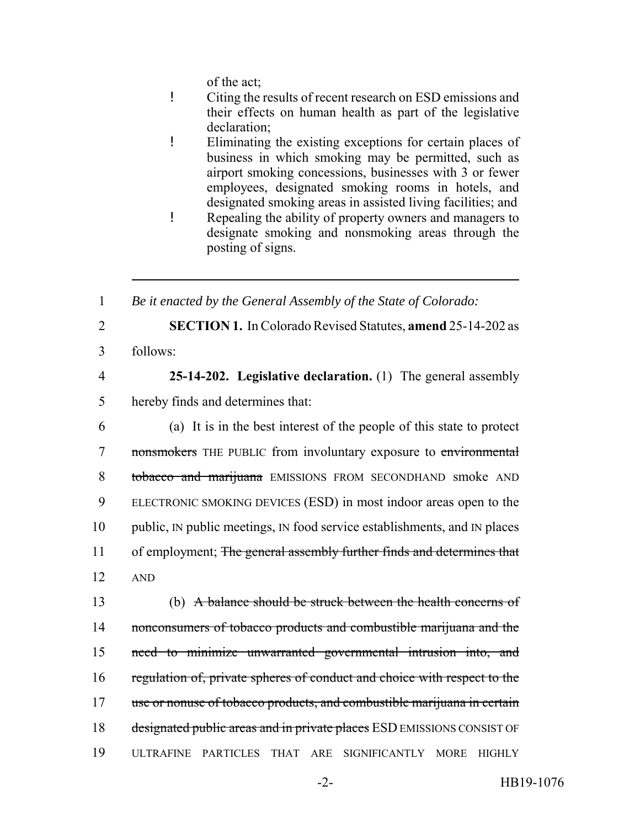of the act;

- ! Citing the results of recent research on ESD emissions and their effects on human health as part of the legislative declaration;
- ! Eliminating the existing exceptions for certain places of business in which smoking may be permitted, such as airport smoking concessions, businesses with 3 or fewer employees, designated smoking rooms in hotels, and designated smoking areas in assisted living facilities; and
- ! Repealing the ability of property owners and managers to designate smoking and nonsmoking areas through the posting of signs.

1 *Be it enacted by the General Assembly of the State of Colorado:*

- 
- 

2 **SECTION 1.** In Colorado Revised Statutes, **amend** 25-14-202 as 3 follows:

4 **25-14-202. Legislative declaration.** (1) The general assembly 5 hereby finds and determines that:

6 (a) It is in the best interest of the people of this state to protect 7 nonsmokers THE PUBLIC from involuntary exposure to environmental 8 tobacco and marijuana EMISSIONS FROM SECONDHAND smoke AND 9 ELECTRONIC SMOKING DEVICES (ESD) in most indoor areas open to the 10 public, IN public meetings, IN food service establishments, and IN places 11 of employment; The general assembly further finds and determines that 12 AND

13 (b) A balance should be struck between the health concerns of 14 nonconsumers of tobacco products and combustible marijuana and the 15 need to minimize unwarranted governmental intrusion into, and 16 regulation of, private spheres of conduct and choice with respect to the 17 use or nonuse of tobacco products, and combustible marijuana in certain 18 designated public areas and in private places ESD EMISSIONS CONSIST OF 19 ULTRAFINE PARTICLES THAT ARE SIGNIFICANTLY MORE HIGHLY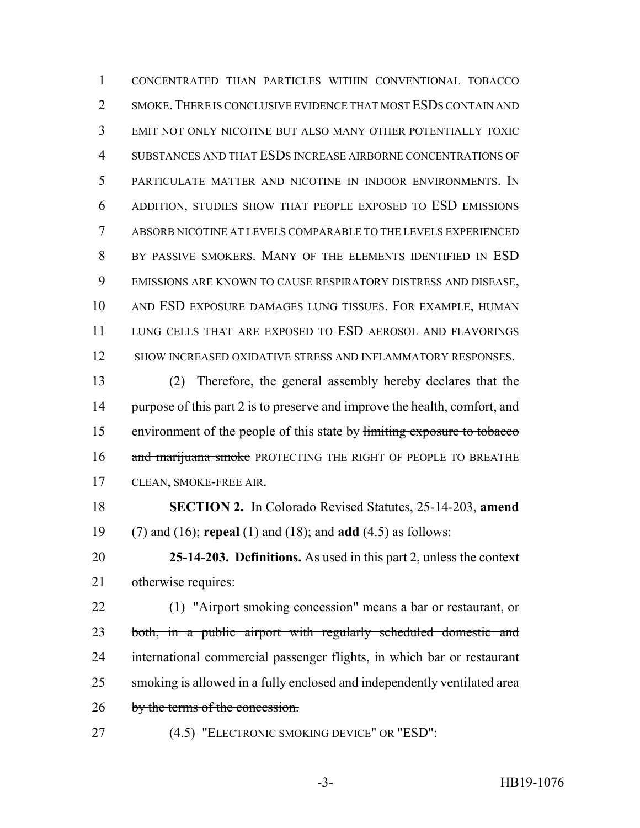CONCENTRATED THAN PARTICLES WITHIN CONVENTIONAL TOBACCO 2 SMOKE. THERE IS CONCLUSIVE EVIDENCE THAT MOST ESDS CONTAIN AND EMIT NOT ONLY NICOTINE BUT ALSO MANY OTHER POTENTIALLY TOXIC SUBSTANCES AND THAT ESDS INCREASE AIRBORNE CONCENTRATIONS OF PARTICULATE MATTER AND NICOTINE IN INDOOR ENVIRONMENTS. IN ADDITION, STUDIES SHOW THAT PEOPLE EXPOSED TO ESD EMISSIONS ABSORB NICOTINE AT LEVELS COMPARABLE TO THE LEVELS EXPERIENCED BY PASSIVE SMOKERS. MANY OF THE ELEMENTS IDENTIFIED IN ESD EMISSIONS ARE KNOWN TO CAUSE RESPIRATORY DISTRESS AND DISEASE, AND ESD EXPOSURE DAMAGES LUNG TISSUES. FOR EXAMPLE, HUMAN LUNG CELLS THAT ARE EXPOSED TO ESD AEROSOL AND FLAVORINGS 12 SHOW INCREASED OXIDATIVE STRESS AND INFLAMMATORY RESPONSES.

 (2) Therefore, the general assembly hereby declares that the purpose of this part 2 is to preserve and improve the health, comfort, and environment of the people of this state by limiting exposure to tobacco 16 and marijuana smoke PROTECTING THE RIGHT OF PEOPLE TO BREATHE CLEAN, SMOKE-FREE AIR.

- **SECTION 2.** In Colorado Revised Statutes, 25-14-203, **amend** (7) and (16); **repeal** (1) and (18); and **add** (4.5) as follows:
- **25-14-203. Definitions.** As used in this part 2, unless the context otherwise requires:
- 

 (1) "Airport smoking concession" means a bar or restaurant, or both, in a public airport with regularly scheduled domestic and

international commercial passenger flights, in which bar or restaurant

25 smoking is allowed in a fully enclosed and independently ventilated area

26 by the terms of the concession.

(4.5) "ELECTRONIC SMOKING DEVICE" OR "ESD":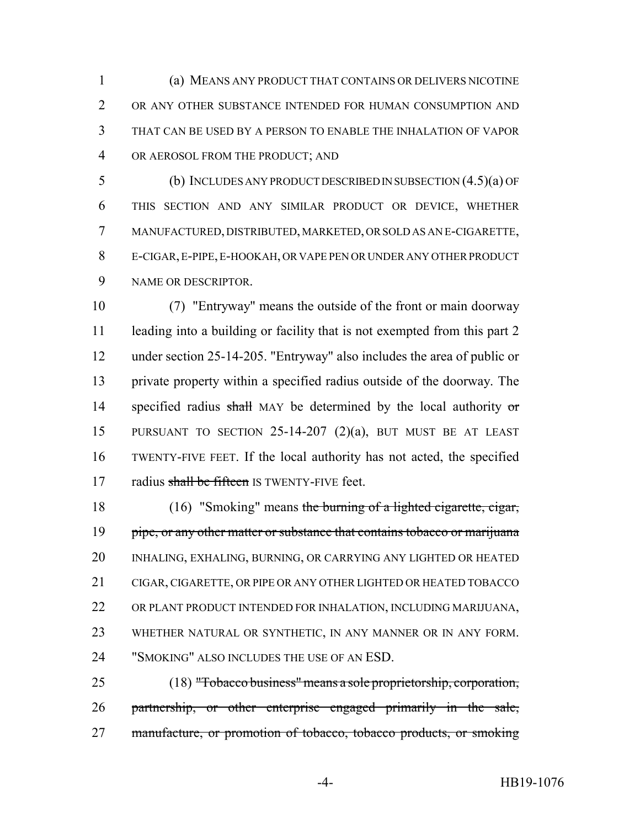(a) MEANS ANY PRODUCT THAT CONTAINS OR DELIVERS NICOTINE OR ANY OTHER SUBSTANCE INTENDED FOR HUMAN CONSUMPTION AND THAT CAN BE USED BY A PERSON TO ENABLE THE INHALATION OF VAPOR OR AEROSOL FROM THE PRODUCT; AND

 (b) INCLUDES ANY PRODUCT DESCRIBED IN SUBSECTION (4.5)(a) OF THIS SECTION AND ANY SIMILAR PRODUCT OR DEVICE, WHETHER MANUFACTURED, DISTRIBUTED, MARKETED, OR SOLD AS AN E-CIGARETTE, E-CIGAR, E-PIPE, E-HOOKAH, OR VAPE PEN OR UNDER ANY OTHER PRODUCT NAME OR DESCRIPTOR.

 (7) "Entryway" means the outside of the front or main doorway 11 leading into a building or facility that is not exempted from this part 2 under section 25-14-205. "Entryway" also includes the area of public or private property within a specified radius outside of the doorway. The 14 specified radius shall MAY be determined by the local authority or PURSUANT TO SECTION 25-14-207 (2)(a), BUT MUST BE AT LEAST TWENTY-FIVE FEET. If the local authority has not acted, the specified 17 radius shall be fifteen IS TWENTY-FIVE feet.

18 (16) "Smoking" means the burning of a lighted cigarette, cigar, 19 pipe, or any other matter or substance that contains tobacco or marijuana INHALING, EXHALING, BURNING, OR CARRYING ANY LIGHTED OR HEATED CIGAR, CIGARETTE, OR PIPE OR ANY OTHER LIGHTED OR HEATED TOBACCO OR PLANT PRODUCT INTENDED FOR INHALATION, INCLUDING MARIJUANA, WHETHER NATURAL OR SYNTHETIC, IN ANY MANNER OR IN ANY FORM. "SMOKING" ALSO INCLUDES THE USE OF AN ESD.

 (18) "Tobacco business" means a sole proprietorship, corporation, partnership, or other enterprise engaged primarily in the sale, 27 manufacture, or promotion of tobacco, tobacco products, or smoking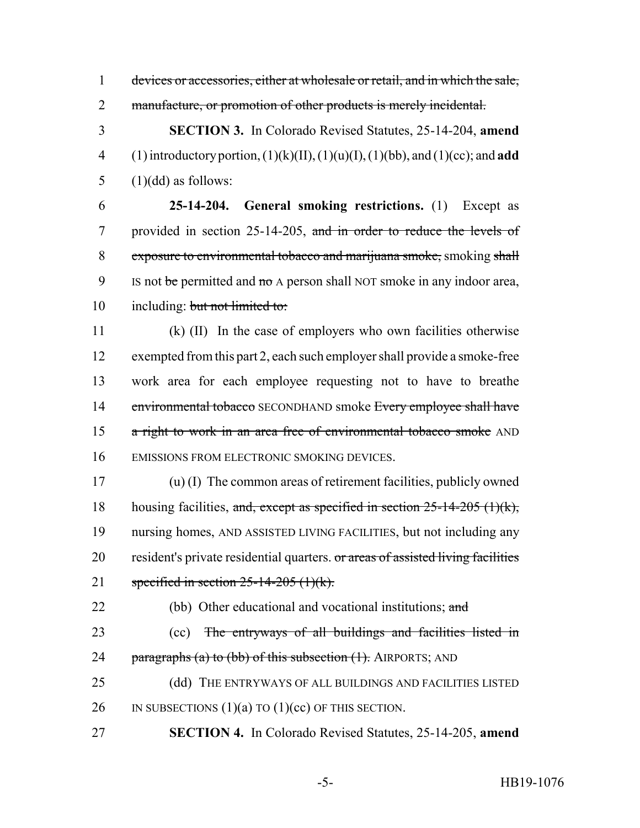1 devices or accessories, either at wholesale or retail, and in which the sale,

2 manufacture, or promotion of other products is merely incidental.

3 **SECTION 3.** In Colorado Revised Statutes, 25-14-204, **amend** 4 (1) introductory portion, (1)(k)(II), (1)(u)(I), (1)(bb), and (1)(cc); and **add**  $5$  (1)(dd) as follows:

6 **25-14-204. General smoking restrictions.** (1) Except as 7 provided in section 25-14-205, and in order to reduce the levels of 8 exposure to environmental tobacco and marijuana smoke, smoking shall 9 IS not be permitted and no A person shall NOT smoke in any indoor area, 10 including: but not limited to:

 (k) (II) In the case of employers who own facilities otherwise exempted from this part 2, each such employer shall provide a smoke-free work area for each employee requesting not to have to breathe 14 environmental tobacco SECONDHAND smoke Every employee shall have 15 a right to work in an area free of environmental tobacco smoke AND EMISSIONS FROM ELECTRONIC SMOKING DEVICES.

17 (u) (I) The common areas of retirement facilities, publicly owned 18 housing facilities, and, except as specified in section  $25-14-205$  (1)(k), 19 nursing homes, AND ASSISTED LIVING FACILITIES, but not including any 20 resident's private residential quarters. or areas of assisted living facilities 21 specified in section  $25-14-205$  (1)(k).

22 (bb) Other educational and vocational institutions; and

- 23 (cc) The entryways of all buildings and facilities listed in 24 paragraphs (a) to (bb) of this subsection (1). AIRPORTS; AND
- 25 (dd) THE ENTRYWAYS OF ALL BUILDINGS AND FACILITIES LISTED 26 IN SUBSECTIONS  $(1)(a)$  TO  $(1)(cc)$  OF THIS SECTION.
- 27 **SECTION 4.** In Colorado Revised Statutes, 25-14-205, **amend**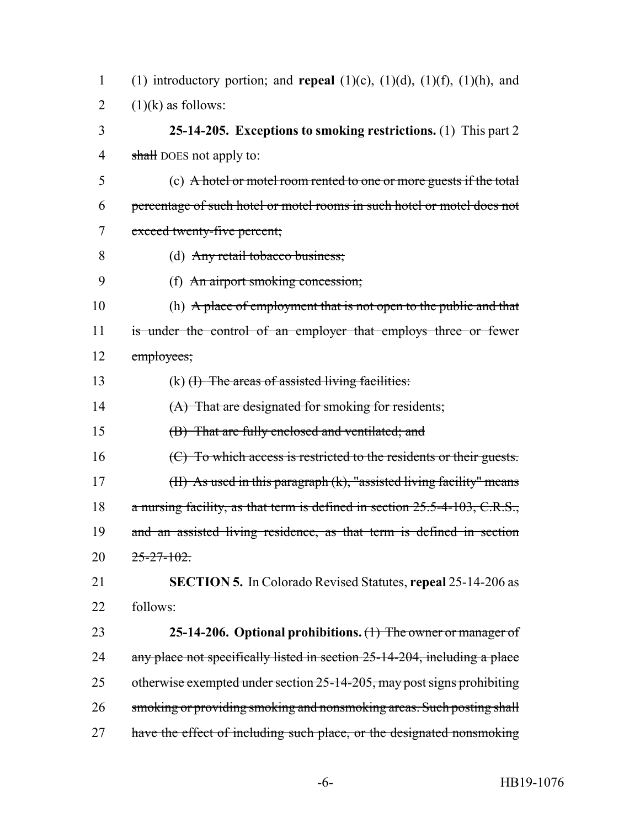| 1 (1) introductory portion; and <b>repeal</b> (1)(c), (1)(d), (1)(f), (1)(h), and |  |
|-----------------------------------------------------------------------------------|--|
| 2 $(1)(k)$ as follows:                                                            |  |

3 **25-14-205. Exceptions to smoking restrictions.** (1) This part 2 4 shall DOES not apply to:

5 (c) A hotel or motel room rented to one or more guests if the total 6 percentage of such hotel or motel rooms in such hotel or motel does not 7 exceed twenty-five percent;

- 8 (d) Any retail tobacco business;
- 9 (f) An airport smoking concession;

10 (h) A place of employment that is not open to the public and that 11 is under the control of an employer that employs three or fewer 12 employees;

13 (k) <del>(I) The areas of assisted living facilities:</del>

14 (A) That are designated for smoking for residents;

15 (B) That are fully enclosed and ventilated; and

16 (C) To which access is restricted to the residents or their guests.

17 (II) As used in this paragraph (k), "assisted living facility" means

18 a nursing facility, as that term is defined in section 25.5-4-103, C.R.S.,

19 and an assisted living residence, as that term is defined in section  $20 \frac{25-27-102}{25}$ 

21 **SECTION 5.** In Colorado Revised Statutes, **repeal** 25-14-206 as 22 follows:

23 **25-14-206. Optional prohibitions.** (1) The owner or manager of 24 any place not specifically listed in section 25-14-204, including a place 25 otherwise exempted under section 25-14-205, may post signs prohibiting 26 smoking or providing smoking and nonsmoking areas. Such posting shall 27 have the effect of including such place, or the designated nonsmoking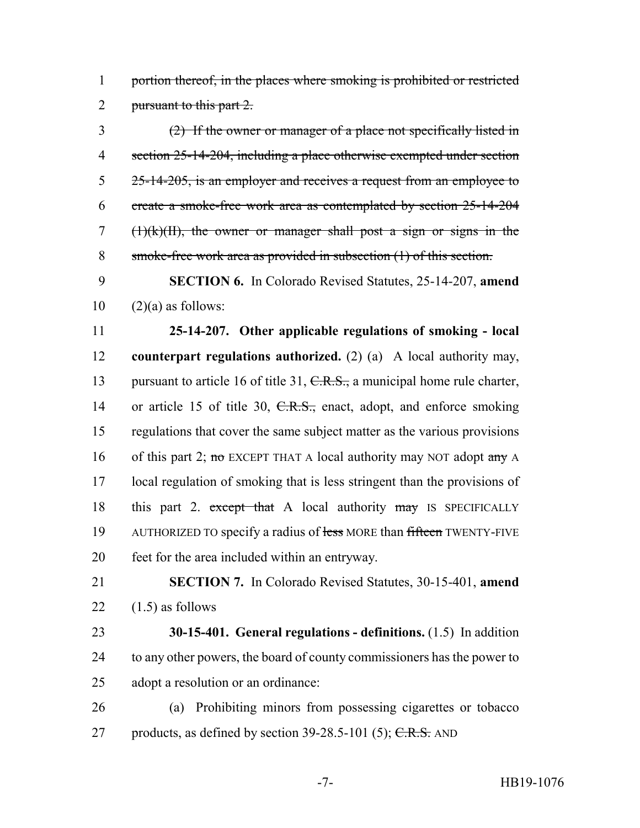1 portion thereof, in the places where smoking is prohibited or restricted 2 pursuant to this part 2.

 (2) If the owner or manager of a place not specifically listed in section 25-14-204, including a place otherwise exempted under section 5 25-14-205, is an employer and receives a request from an employee to create a smoke-free work area as contemplated by section 25-14-204 (1)(k)(II), the owner or manager shall post a sign or signs in the smoke-free work area as provided in subsection (1) of this section.

9 **SECTION 6.** In Colorado Revised Statutes, 25-14-207, **amend**  $10 \qquad (2)(a)$  as follows:

11 **25-14-207. Other applicable regulations of smoking - local** 12 **counterpart regulations authorized.** (2) (a) A local authority may, 13 pursuant to article 16 of title 31, C.R.S., a municipal home rule charter, 14 or article 15 of title 30, C.R.S., enact, adopt, and enforce smoking 15 regulations that cover the same subject matter as the various provisions 16 of this part 2; no EXCEPT THAT A local authority may NOT adopt any A 17 local regulation of smoking that is less stringent than the provisions of 18 this part 2. except that A local authority may IS SPECIFICALLY 19 AUTHORIZED TO specify a radius of less MORE than fifteen TWENTY-FIVE 20 feet for the area included within an entryway.

21 **SECTION 7.** In Colorado Revised Statutes, 30-15-401, **amend** 22  $(1.5)$  as follows

23 **30-15-401. General regulations - definitions.** (1.5) In addition 24 to any other powers, the board of county commissioners has the power to 25 adopt a resolution or an ordinance:

26 (a) Prohibiting minors from possessing cigarettes or tobacco 27 products, as defined by section  $39-28.5-101$  (5); C.R.S. AND